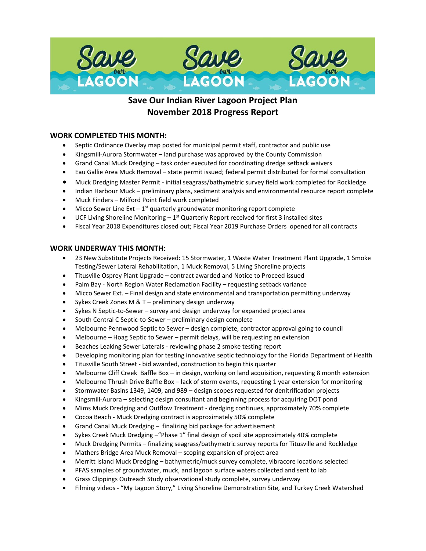

# **Save Our Indian River Lagoon Project Plan November 2018 Progress Report**

### **WORK COMPLETED THIS MONTH:**

- Septic Ordinance Overlay map posted for municipal permit staff, contractor and public use
- Kingsmill-Aurora Stormwater land purchase was approved by the County Commission
- Grand Canal Muck Dredging task order executed for coordinating dredge setback waivers
- Eau Gallie Area Muck Removal state permit issued; federal permit distributed for formal consultation
- Muck Dredging Master Permit initial seagrass/bathymetric survey field work completed for Rockledge
- Indian Harbour Muck preliminary plans, sediment analysis and environmental resource report complete
- Muck Finders Milford Point field work completed
- Micco Sewer Line Ext  $-1^{st}$  quarterly groundwater monitoring report complete
- UCF Living Shoreline Monitoring  $-1^{st}$  Quarterly Report received for first 3 installed sites
- Fiscal Year 2018 Expenditures closed out; Fiscal Year 2019 Purchase Orders opened for all contracts

#### **WORK UNDERWAY THIS MONTH:**

- 23 New Substitute Projects Received: 15 Stormwater, 1 Waste Water Treatment Plant Upgrade, 1 Smoke Testing/Sewer Lateral Rehabilitation, 1 Muck Removal, 5 Living Shoreline projects
- Titusville Osprey Plant Upgrade contract awarded and Notice to Proceed issued
- Palm Bay North Region Water Reclamation Facility requesting setback variance
- Micco Sewer Ext. Final design and state environmental and transportation permitting underway
- Sykes Creek Zones M & T preliminary design underway
- Sykes N Septic-to-Sewer survey and design underway for expanded project area
- South Central C Septic-to-Sewer preliminary design complete
- Melbourne Pennwood Septic to Sewer design complete, contractor approval going to council
- Melbourne Hoag Septic to Sewer permit delays, will be requesting an extension
- Beaches Leaking Sewer Laterals reviewing phase 2 smoke testing report
- Developing monitoring plan for testing innovative septic technology for the Florida Department of Health
- Titusville South Street bid awarded, construction to begin this quarter
- Melbourne Cliff Creek Baffle Box in design, working on land acquisition, requesting 8 month extension
- Melbourne Thrush Drive Baffle Box lack of storm events, requesting 1 year extension for monitoring
- Stormwater Basins 1349, 1409, and 989 design scopes requested for denitrification projects
- Kingsmill-Aurora selecting design consultant and beginning process for acquiring DOT pond
- Mims Muck Dredging and Outflow Treatment dredging continues, approximately 70% complete
- Cocoa Beach Muck Dredging contract is approximately 50% complete
- Grand Canal Muck Dredging finalizing bid package for advertisement
- Sykes Creek Muck Dredging –"Phase 1" final design of spoil site approximately 40% complete
- Muck Dredging Permits finalizing seagrass/bathymetric survey reports for Titusville and Rockledge
- Mathers Bridge Area Muck Removal scoping expansion of project area
- Merritt Island Muck Dredging bathymetric/muck survey complete, vibracore locations selected
- PFAS samples of groundwater, muck, and lagoon surface waters collected and sent to lab
- Grass Clippings Outreach Study observational study complete, survey underway
- Filming videos "My Lagoon Story," Living Shoreline Demonstration Site, and Turkey Creek Watershed